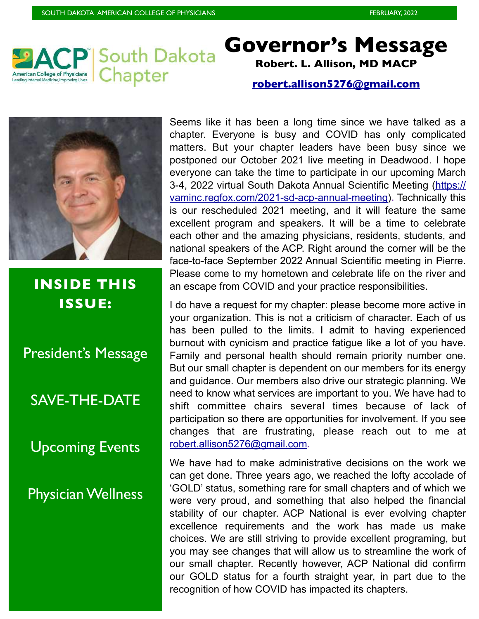

### **Governor's Message Robert. L. Allison, MD MACP**

#### **[robert.allison5276@gmail.com](mailto:robeert.allison5276@gmail.com)**



**INSIDE THIS ISSUE:**

President's Message

### SAVE-THE-DATE

Upcoming Events

Physician Wellness

Seems like it has been a long time since we have talked as a chapter. Everyone is busy and COVID has only complicated matters. But your chapter leaders have been busy since we postponed our October 2021 live meeting in Deadwood. I hope everyone can take the time to participate in our upcoming March 3-4, 2022 virtual South Dakota Annual Scientific Meeting ([https://](https://vaminc.regfox.com/2021-sd-acp-annual-meeting) [vaminc.regfox.com/2021-sd-acp-annual-meeting\)](https://vaminc.regfox.com/2021-sd-acp-annual-meeting)**.** Technically this is our rescheduled 2021 meeting, and it will feature the same excellent program and speakers. It will be a time to celebrate each other and the amazing physicians, residents, students, and national speakers of the ACP. Right around the corner will be the face-to-face September 2022 Annual Scientific meeting in Pierre. Please come to my hometown and celebrate life on the river and an escape from COVID and your practice responsibilities.

I do have a request for my chapter: please become more active in your organization. This is not a criticism of character. Each of us has been pulled to the limits. I admit to having experienced burnout with cynicism and practice fatigue like a lot of you have. Family and personal health should remain priority number one. But our small chapter is dependent on our members for its energy and guidance. Our members also drive our strategic planning. We need to know what services are important to you. We have had to shift committee chairs several times because of lack of participation so there are opportunities for involvement. If you see changes that are frustrating, please reach out to me at [robert.allison5276@gmail.com](mailto:robert.allison5276@gmail.com)**.** 

We have had to make administrative decisions on the work we can get done. Three years ago, we reached the lofty accolade of 'GOLD' status, something rare for small chapters and of which we were very proud, and something that also helped the financial stability of our chapter. ACP National is ever evolving chapter excellence requirements and the work has made us make choices. We are still striving to provide excellent programing, but you may see changes that will allow us to streamline the work of our small chapter. Recently however, ACP National did confirm our GOLD status for a fourth straight year, in part due to the recognition of how COVID has impacted its chapters.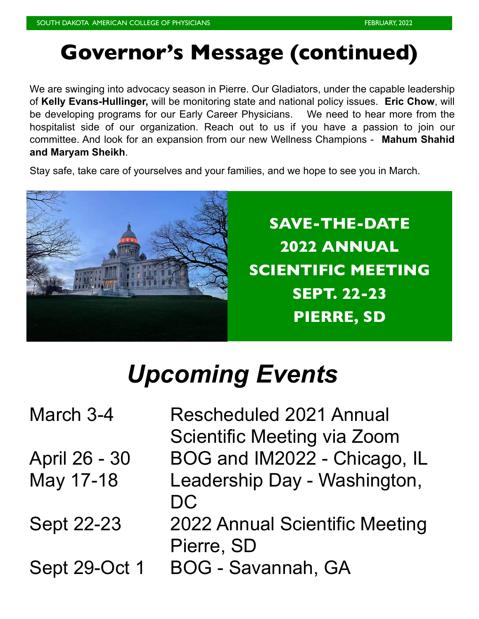## **Governor's Message (continued)**

We are swinging into advocacy season in Pierre. Our Gladiators, under the capable leadership of **Kelly Evans-Hullinger,** will be monitoring state and national policy issues. **Eric Chow**, will be developing programs for our Early Career Physicians. We need to hear more from the hospitalist side of our organization. Reach out to us if you have a passion to join our committee. And look for an expansion from our new Wellness Champions - **Mahum Shahid and Maryam Sheikh**.

Stay safe, take care of yourselves and your families, and we hope to see you in March.



**SAVE-THE-DATE 2022 ANNUAL SCIENTIFIC MEETING SEPT. 22-23 PIERRE, SD**

# *Upcoming Events*

March 3-4 Rescheduled 2021 Annual Scientific Meeting via Zoom April 26 - 30 BOG and IM2022 - Chicago, IL May 17-18 Leadership Day - Washington, DC Sept 22-23 2022 Annual Scientific Meeting Pierre, SD Sept 29-Oct 1 BOG - Savannah, GA